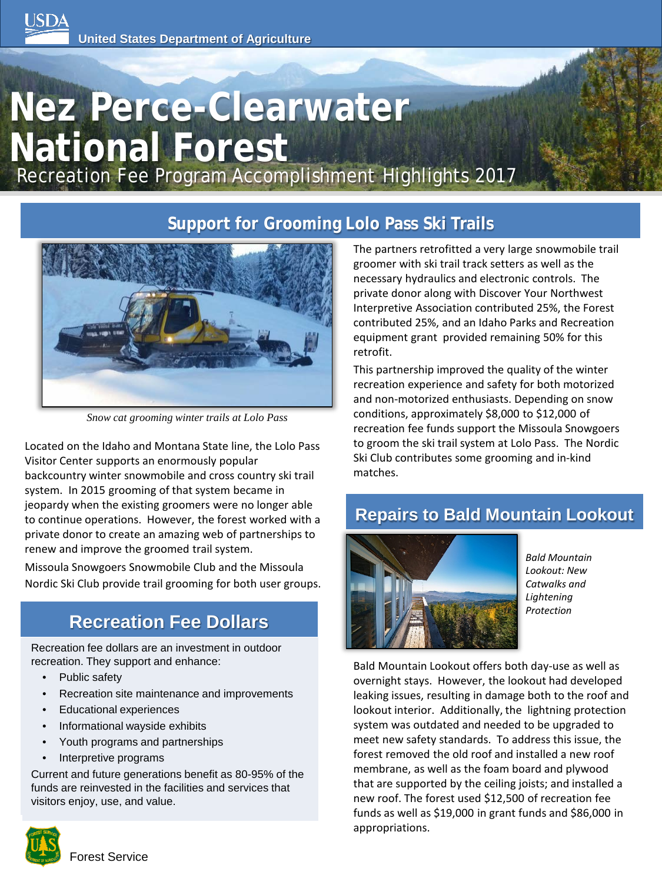# **Nez Perce-Clearwater National Forest**

Recreation Fee Program Accomplishment Highlights 2017

# **Support for Grooming Lolo Pass Ski Trails**



*Snow cat grooming winter trails at Lolo Pass*

Located on the Idaho and Montana State line, the Lolo Pass Visitor Center supports an enormously popular backcountry winter snowmobile and cross country ski trail system. In 2015 grooming of that system became in jeopardy when the existing groomers were no longer able to continue operations. However, the forest worked with a private donor to create an amazing web of partnerships to renew and improve the groomed trail system.

Missoula Snowgoers Snowmobile Club and the Missoula Nordic Ski Club provide trail grooming for both user groups.

# **Recreation Fee Dollars**

Recreation fee dollars are an investment in outdoor recreation. They support and enhance:

- Public safety
- Recreation site maintenance and improvements
- Educational experiences
- Informational wayside exhibits
- Youth programs and partnerships
- Interpretive programs

Current and future generations benefit as 80-95% of the funds are reinvested in the facilities and services that visitors enjoy, use, and value.



The partners retrofitted a very large snowmobile trail groomer with ski trail track setters as well as the necessary hydraulics and electronic controls. The private donor along with Discover Your Northwest Interpretive Association contributed 25%, the Forest contributed 25%, and an Idaho Parks and Recreation equipment grant provided remaining 50% for this retrofit.

This partnership improved the quality of the winter recreation experience and safety for both motorized and non-motorized enthusiasts. Depending on snow conditions, approximately \$8,000 to \$12,000 of recreation fee funds support the Missoula Snowgoers to groom the ski trail system at Lolo Pass. The Nordic Ski Club contributes some grooming and in-kind matches.

# **Repairs to Bald Mountain Lookout**



*Bald Mountain Lookout: New Catwalks and Lightening Protection*

Bald Mountain Lookout offers both day-use as well as overnight stays. However, the lookout had developed leaking issues, resulting in damage both to the roof and lookout interior. Additionally, the lightning protection system was outdated and needed to be upgraded to meet new safety standards. To address this issue, the forest removed the old roof and installed a new roof membrane, as well as the foam board and plywood that are supported by the ceiling joists; and installed a new roof. The forest used \$12,500 of recreation fee funds as well as \$19,000 in grant funds and \$86,000 in appropriations.